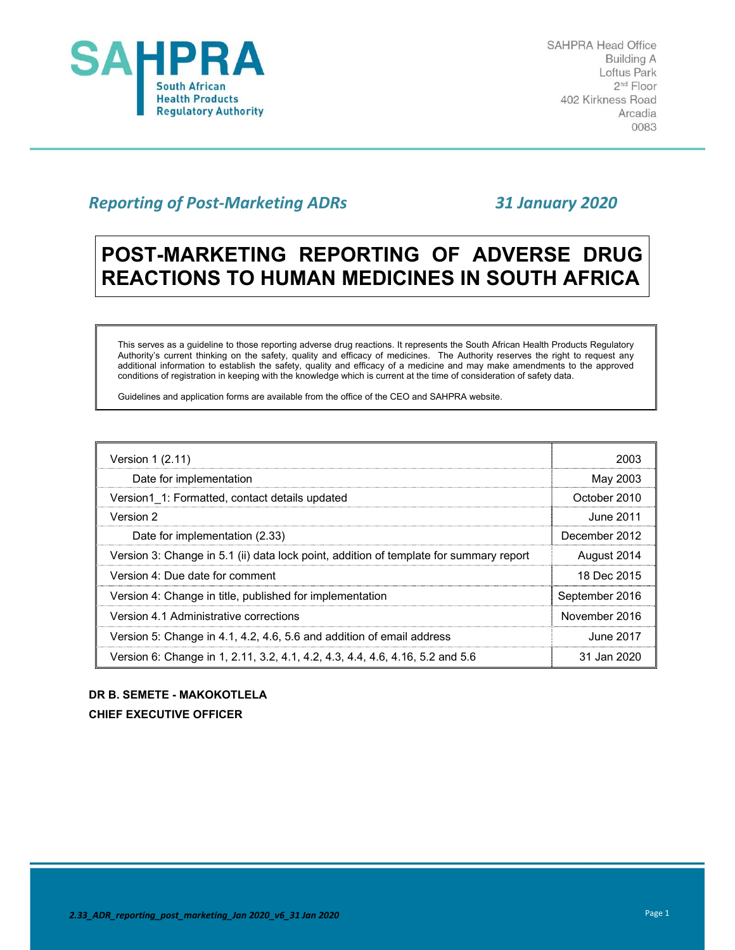

# *Reporting of Post‐Marketing ADRs 31 January 2020*

# **POST-MARKETING REPORTING OF ADVERSE DRUG REACTIONS TO HUMAN MEDICINES IN SOUTH AFRICA**

This serves as a guideline to those reporting adverse drug reactions. It represents the South African Health Products Regulatory Authority's current thinking on the safety, quality and efficacy of medicines. The Authority reserves the right to request any additional information to establish the safety, quality and efficacy of a medicine and may make amendments to the approved conditions of registration in keeping with the knowledge which is current at the time of consideration of safety data.

Guidelines and application forms are available from the office of the CEO and SAHPRA website.

| Version 1 (2.11)                                                                       | 2003           |
|----------------------------------------------------------------------------------------|----------------|
| Date for implementation                                                                | May 2003       |
| Version1 1: Formatted, contact details updated                                         | October 2010   |
| Version 2                                                                              | June 2011      |
| Date for implementation (2.33)                                                         | December 2012  |
| Version 3: Change in 5.1 (ii) data lock point, addition of template for summary report | August 2014    |
| Version 4: Due date for comment                                                        | 18 Dec 2015    |
| Version 4: Change in title, published for implementation                               | September 2016 |
| Version 4.1 Administrative corrections                                                 | November 2016  |
| Version 5: Change in 4.1, 4.2, 4.6, 5.6 and addition of email address                  | June 2017      |
| Version 6: Change in 1, 2.11, 3.2, 4.1, 4.2, 4.3, 4.4, 4.6, 4.16, 5.2 and 5.6          | 31 Jan 2020    |

# **DR B. SEMETE - MAKOKOTLELA**

**CHIEF EXECUTIVE OFFICER**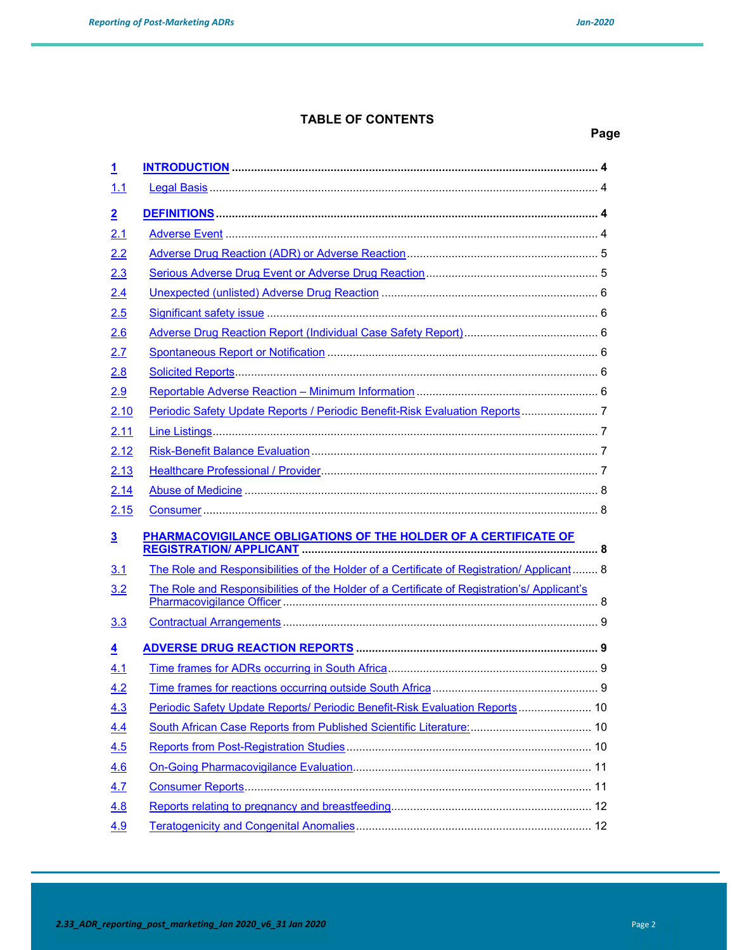**Page** 

#### **TABLE OF CONTENTS**

# **1 INTRODUCTION ................................................................................................................... 4** 1.1 Legal Basis .......................................................................................................................... 4 **2 DEFINITIONS ........................................................................................................................ 4** 2.1 Adverse Event ..................................................................................................................... 4 2.2 Adverse Drug Reaction (ADR) or Adverse Reaction ............................................................ 5 2.3 Serious Adverse Drug Event or Adverse Drug Reaction ...................................................... 5 2.4 Unexpected (unlisted) Adverse Drug Reaction .................................................................... 6 2.5 Significant safety issue ........................................................................................................ 6 2.6 Adverse Drug Reaction Report (Individual Case Safety Report) .......................................... 6 2.7 Spontaneous Report or Notification ..................................................................................... 6 2.8 Solicited Reports.................................................................................................................. 6 2.9 Reportable Adverse Reaction – Minimum Information ......................................................... 6 2.10 Periodic Safety Update Reports / Periodic Benefit-Risk Evaluation Reports ........................ 7 2.11 Line Listings ......................................................................................................................... 7 2.12 Risk-Benefit Balance Evaluation .......................................................................................... 7 2.13 Healthcare Professional / Provider....................................................................................... 7 2.14 Abuse of Medicine ............................................................................................................... 8 2.15 Consumer ............................................................................................................................ 8 **3 PHARMACOVIGILANCE OBLIGATIONS OF THE HOLDER OF A CERTIFICATE OF REGISTRATION/ APPLICANT ............................................................................................. 8** 3.1 The Role and Responsibilities of the Holder of a Certificate of Registration/ Applicant ........ 8 3.2 The Role and Responsibilities of the Holder of a Certificate of Registration's/ Applicant's Pharmacovigilance Officer ................................................................................................... 8 3.3 Contractual Arrangements ................................................................................................... 9 **4 ADVERSE DRUG REACTION REPORTS ............................................................................ 9** 4.1 Time frames for ADRs occurring in South Africa .................................................................. 9 4.2 Time frames for reactions occurring outside South Africa .................................................... 9 4.3 Periodic Safety Update Reports/ Periodic Benefit-Risk Evaluation Reports ....................... 10 4.4 South African Case Reports from Published Scientific Literature: ...................................... 10 4.5 Reports from Post-Registration Studies ............................................................................. 10 4.6 On-Going Pharmacovigilance Evaluation........................................................................... 11 4.7 Consumer Reports ............................................................................................................. 11 4.8 Reports relating to pregnancy and breastfeeding............................................................... 12 4.9 Teratogenicity and Congenital Anomalies .......................................................................... 12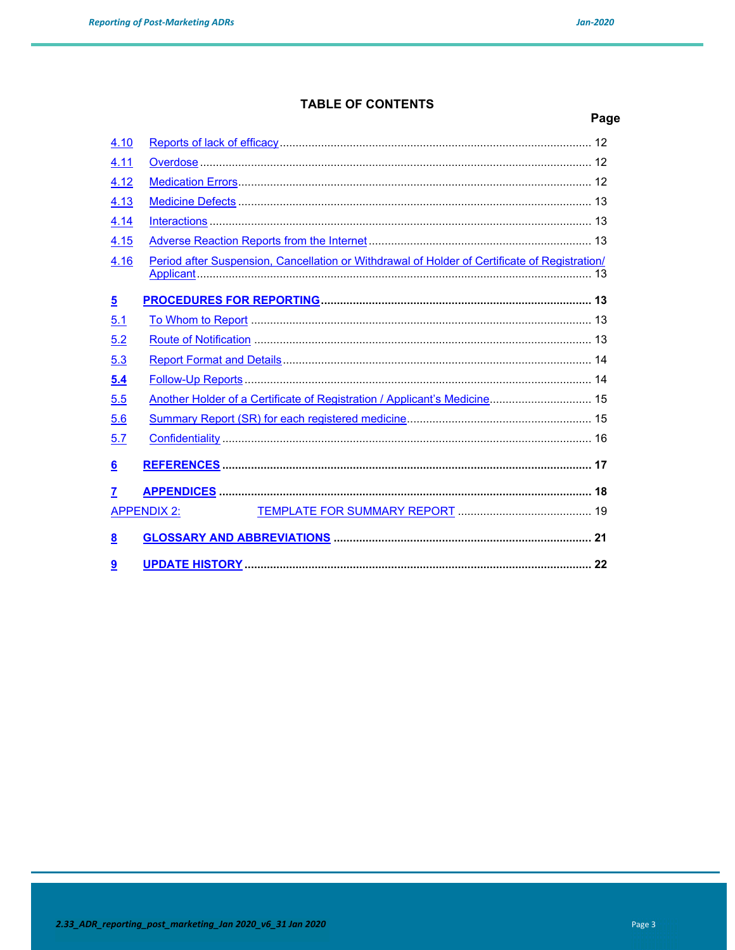$4.10$  $4.11$ 

 $4.12$ 

4.13

#### **TABLE OF CONTENTS**

# Page  $13$

| 4.14             |                                                                                               |    |
|------------------|-----------------------------------------------------------------------------------------------|----|
| 4.15             |                                                                                               |    |
| 4.16             | Period after Suspension, Cancellation or Withdrawal of Holder of Certificate of Registration/ |    |
| $\overline{5}$   |                                                                                               |    |
| 5.1              |                                                                                               |    |
| 5.2              |                                                                                               |    |
| 5.3              |                                                                                               |    |
| 5.4              |                                                                                               |    |
| 5.5              | Another Holder of a Certificate of Registration / Applicant's Medicine 15                     |    |
| 5.6              |                                                                                               |    |
| 5.7              |                                                                                               |    |
| $6 \overline{6}$ |                                                                                               |    |
| $\overline{7}$   |                                                                                               |    |
|                  | <b>APPENDIX 2:</b>                                                                            |    |
| 8                |                                                                                               |    |
| 9                |                                                                                               | 22 |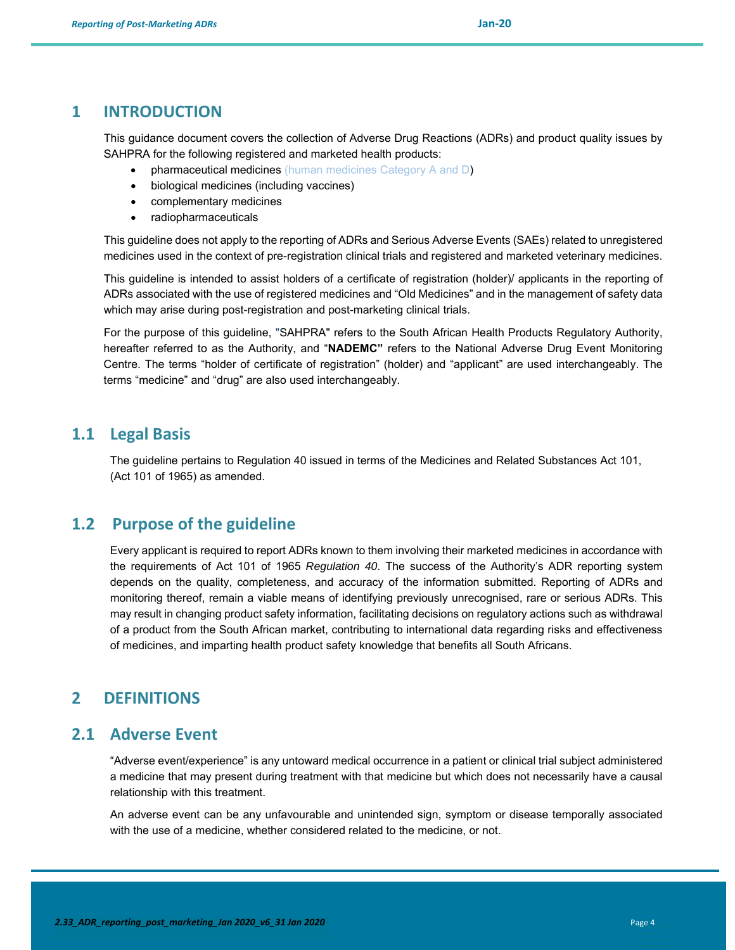#### **1 INTRODUCTION**

This guidance document covers the collection of Adverse Drug Reactions (ADRs) and product quality issues by SAHPRA for the following registered and marketed health products:

- pharmaceutical medicines (human medicines Category A and D)
- biological medicines (including vaccines)
- complementary medicines
- radiopharmaceuticals

This guideline does not apply to the reporting of ADRs and Serious Adverse Events (SAEs) related to unregistered medicines used in the context of pre-registration clinical trials and registered and marketed veterinary medicines.

This guideline is intended to assist holders of a certificate of registration (holder)/ applicants in the reporting of ADRs associated with the use of registered medicines and "Old Medicines" and in the management of safety data which may arise during post-registration and post-marketing clinical trials.

For the purpose of this guideline, "SAHPRA" refers to the South African Health Products Regulatory Authority, hereafter referred to as the Authority, and "**NADEMC"** refers to the National Adverse Drug Event Monitoring Centre. The terms "holder of certificate of registration" (holder) and "applicant" are used interchangeably. The terms "medicine" and "drug" are also used interchangeably.

#### **1.1 Legal Basis**

The guideline pertains to Regulation 40 issued in terms of the Medicines and Related Substances Act 101, (Act 101 of 1965) as amended.

### **1.2 Purpose of the guideline**

Every applicant is required to report ADRs known to them involving their marketed medicines in accordance with the requirements of Act 101 of 1965 *Regulation 40*. The success of the Authority's ADR reporting system depends on the quality, completeness, and accuracy of the information submitted. Reporting of ADRs and monitoring thereof, remain a viable means of identifying previously unrecognised, rare or serious ADRs. This may result in changing product safety information, facilitating decisions on regulatory actions such as withdrawal of a product from the South African market, contributing to international data regarding risks and effectiveness of medicines, and imparting health product safety knowledge that benefits all South Africans.

#### **2 DEFINITIONS**

#### **2.1 Adverse Event**

"Adverse event/experience" is any untoward medical occurrence in a patient or clinical trial subject administered a medicine that may present during treatment with that medicine but which does not necessarily have a causal relationship with this treatment.

An adverse event can be any unfavourable and unintended sign, symptom or disease temporally associated with the use of a medicine, whether considered related to the medicine, or not.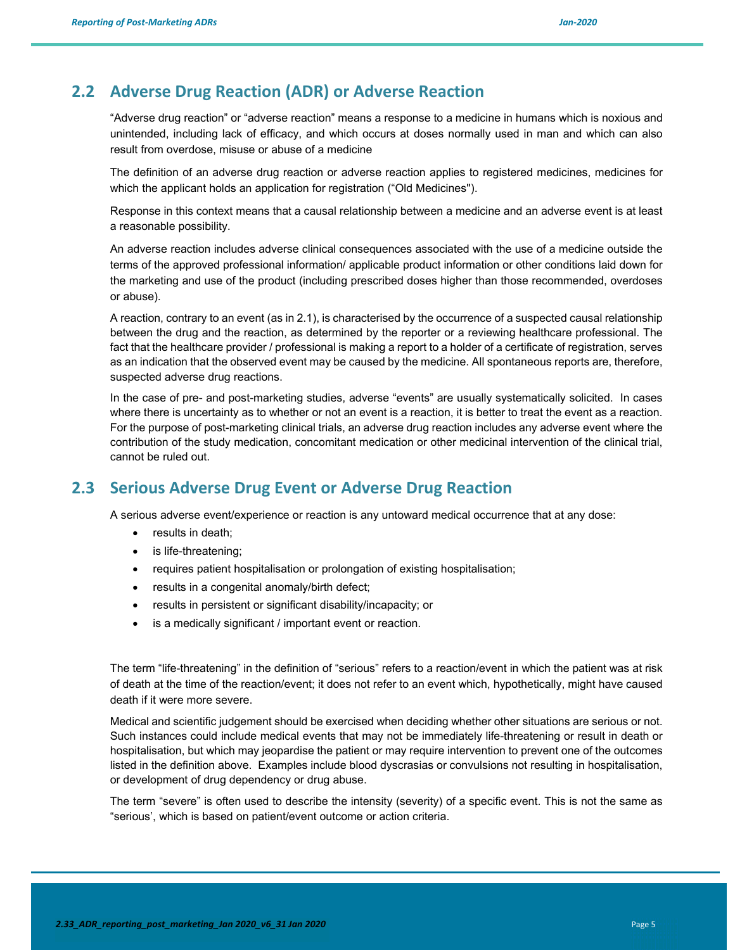### **2.2 Adverse Drug Reaction (ADR) or Adverse Reaction**

"Adverse drug reaction" or "adverse reaction" means a response to a medicine in humans which is noxious and unintended, including lack of efficacy, and which occurs at doses normally used in man and which can also result from overdose, misuse or abuse of a medicine

The definition of an adverse drug reaction or adverse reaction applies to registered medicines, medicines for which the applicant holds an application for registration ("Old Medicines").

Response in this context means that a causal relationship between a medicine and an adverse event is at least a reasonable possibility.

An adverse reaction includes adverse clinical consequences associated with the use of a medicine outside the terms of the approved professional information/ applicable product information or other conditions laid down for the marketing and use of the product (including prescribed doses higher than those recommended, overdoses or abuse).

A reaction, contrary to an event (as in 2.1), is characterised by the occurrence of a suspected causal relationship between the drug and the reaction, as determined by the reporter or a reviewing healthcare professional. The fact that the healthcare provider / professional is making a report to a holder of a certificate of registration, serves as an indication that the observed event may be caused by the medicine. All spontaneous reports are, therefore, suspected adverse drug reactions.

In the case of pre- and post-marketing studies, adverse "events" are usually systematically solicited. In cases where there is uncertainty as to whether or not an event is a reaction, it is better to treat the event as a reaction. For the purpose of post-marketing clinical trials, an adverse drug reaction includes any adverse event where the contribution of the study medication, concomitant medication or other medicinal intervention of the clinical trial, cannot be ruled out.

#### **2.3 Serious Adverse Drug Event or Adverse Drug Reaction**

A serious adverse event/experience or reaction is any untoward medical occurrence that at any dose:

- results in death;
- is life-threatening;
- requires patient hospitalisation or prolongation of existing hospitalisation;
- results in a congenital anomaly/birth defect;
- results in persistent or significant disability/incapacity; or
- is a medically significant / important event or reaction.

The term "life-threatening" in the definition of "serious" refers to a reaction/event in which the patient was at risk of death at the time of the reaction/event; it does not refer to an event which, hypothetically, might have caused death if it were more severe.

Medical and scientific judgement should be exercised when deciding whether other situations are serious or not. Such instances could include medical events that may not be immediately life-threatening or result in death or hospitalisation, but which may jeopardise the patient or may require intervention to prevent one of the outcomes listed in the definition above. Examples include blood dyscrasias or convulsions not resulting in hospitalisation, or development of drug dependency or drug abuse.

The term "severe" is often used to describe the intensity (severity) of a specific event. This is not the same as "serious', which is based on patient/event outcome or action criteria.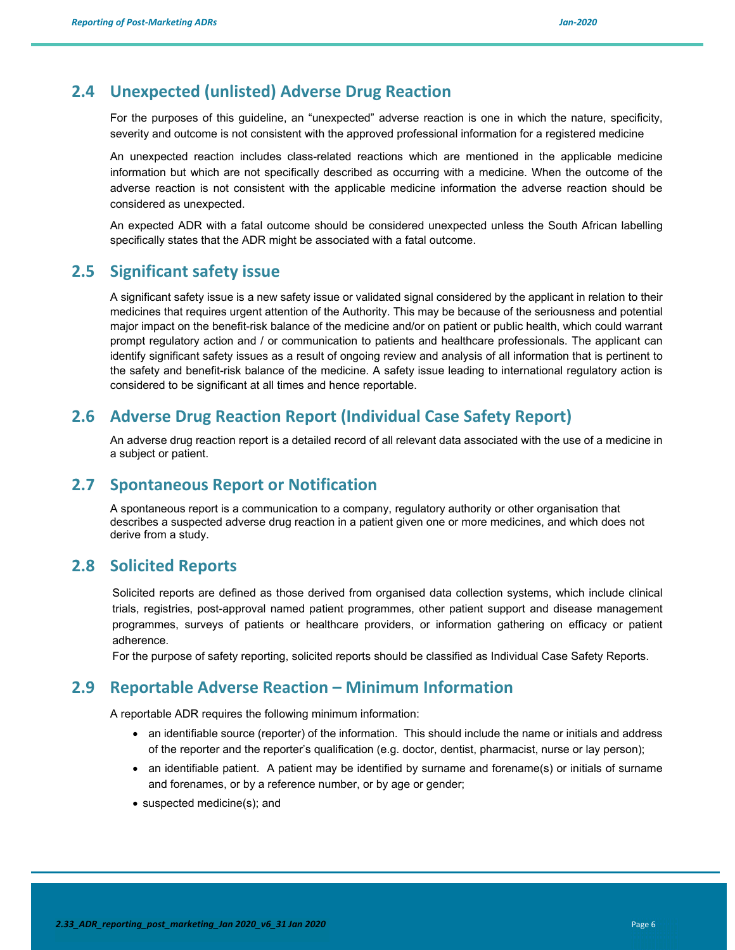#### **2.4 Unexpected (unlisted) Adverse Drug Reaction**

For the purposes of this guideline, an "unexpected" adverse reaction is one in which the nature, specificity, severity and outcome is not consistent with the approved professional information for a registered medicine

An unexpected reaction includes class-related reactions which are mentioned in the applicable medicine information but which are not specifically described as occurring with a medicine. When the outcome of the adverse reaction is not consistent with the applicable medicine information the adverse reaction should be considered as unexpected.

An expected ADR with a fatal outcome should be considered unexpected unless the South African labelling specifically states that the ADR might be associated with a fatal outcome.

#### **2.5 Significant safety issue**

A significant safety issue is a new safety issue or validated signal considered by the applicant in relation to their medicines that requires urgent attention of the Authority. This may be because of the seriousness and potential major impact on the benefit-risk balance of the medicine and/or on patient or public health, which could warrant prompt regulatory action and / or communication to patients and healthcare professionals. The applicant can identify significant safety issues as a result of ongoing review and analysis of all information that is pertinent to the safety and benefit-risk balance of the medicine. A safety issue leading to international regulatory action is considered to be significant at all times and hence reportable.

#### **2.6 Adverse Drug Reaction Report (Individual Case Safety Report)**

An adverse drug reaction report is a detailed record of all relevant data associated with the use of a medicine in a subject or patient.

#### **2.7 Spontaneous Report or Notification**

A spontaneous report is a communication to a company, regulatory authority or other organisation that describes a suspected adverse drug reaction in a patient given one or more medicines, and which does not derive from a study.

#### **2.8 Solicited Reports**

Solicited reports are defined as those derived from organised data collection systems, which include clinical trials, registries, post-approval named patient programmes, other patient support and disease management programmes, surveys of patients or healthcare providers, or information gathering on efficacy or patient adherence.

For the purpose of safety reporting, solicited reports should be classified as Individual Case Safety Reports.

#### **2.9 Reportable Adverse Reaction – Minimum Information**

A reportable ADR requires the following minimum information:

- an identifiable source (reporter) of the information. This should include the name or initials and address of the reporter and the reporter's qualification (e.g. doctor, dentist, pharmacist, nurse or lay person);
- an identifiable patient. A patient may be identified by surname and forename(s) or initials of surname and forenames, or by a reference number, or by age or gender;
- suspected medicine(s); and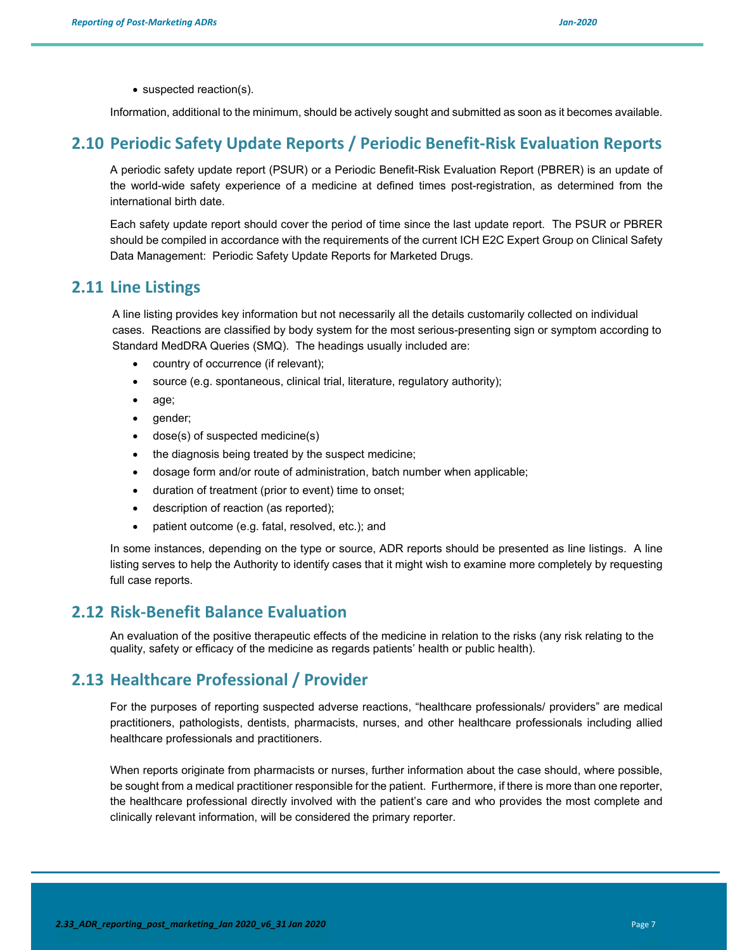• suspected reaction(s).

Information, additional to the minimum, should be actively sought and submitted as soon as it becomes available.

#### **2.10 Periodic Safety Update Reports / Periodic Benefit‐Risk Evaluation Reports**

A periodic safety update report (PSUR) or a Periodic Benefit-Risk Evaluation Report (PBRER) is an update of the world-wide safety experience of a medicine at defined times post-registration, as determined from the international birth date.

Each safety update report should cover the period of time since the last update report. The PSUR or PBRER should be compiled in accordance with the requirements of the current ICH E2C Expert Group on Clinical Safety Data Management: Periodic Safety Update Reports for Marketed Drugs.

#### **2.11 Line Listings**

A line listing provides key information but not necessarily all the details customarily collected on individual cases. Reactions are classified by body system for the most serious-presenting sign or symptom according to Standard MedDRA Queries (SMQ). The headings usually included are:

- country of occurrence (if relevant);
- source (e.g. spontaneous, clinical trial, literature, regulatory authority);
- age;
- gender:
- dose(s) of suspected medicine(s)
- the diagnosis being treated by the suspect medicine;
- dosage form and/or route of administration, batch number when applicable;
- duration of treatment (prior to event) time to onset;
- description of reaction (as reported);
- patient outcome (e.g. fatal, resolved, etc.); and

In some instances, depending on the type or source, ADR reports should be presented as line listings. A line listing serves to help the Authority to identify cases that it might wish to examine more completely by requesting full case reports.

#### **2.12 Risk‐Benefit Balance Evaluation**

An evaluation of the positive therapeutic effects of the medicine in relation to the risks (any risk relating to the quality, safety or efficacy of the medicine as regards patients' health or public health).

#### **2.13 Healthcare Professional / Provider**

For the purposes of reporting suspected adverse reactions, "healthcare professionals/ providers" are medical practitioners, pathologists, dentists, pharmacists, nurses, and other healthcare professionals including allied healthcare professionals and practitioners.

When reports originate from pharmacists or nurses, further information about the case should, where possible, be sought from a medical practitioner responsible for the patient. Furthermore, if there is more than one reporter, the healthcare professional directly involved with the patient's care and who provides the most complete and clinically relevant information, will be considered the primary reporter.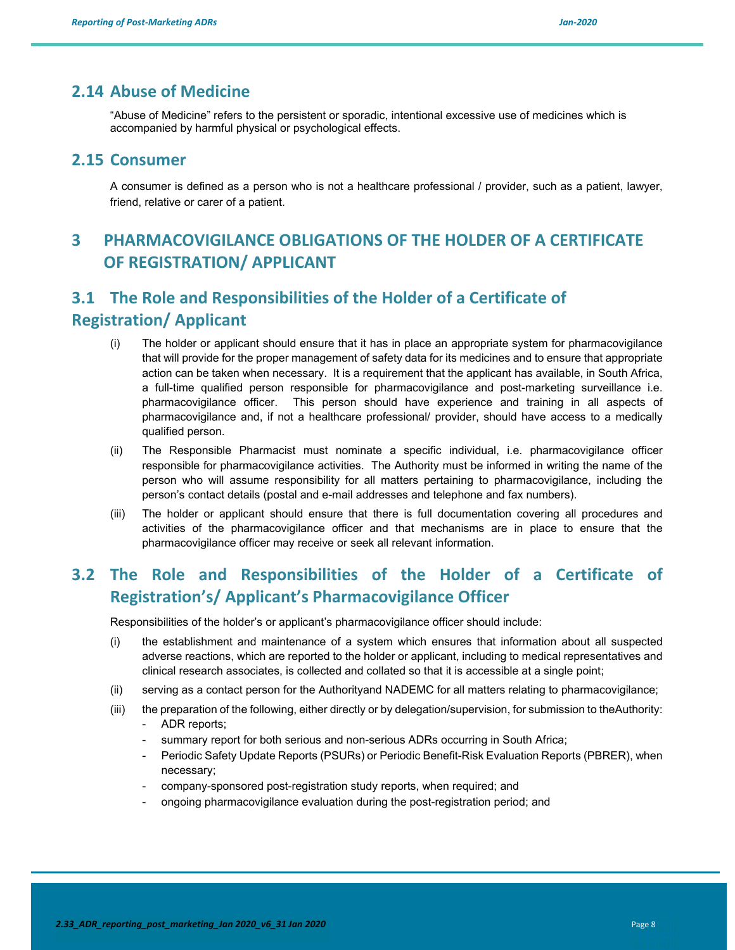#### **2.14 Abuse of Medicine**

"Abuse of Medicine" refers to the persistent or sporadic, intentional excessive use of medicines which is accompanied by harmful physical or psychological effects.

#### **2.15 Consumer**

A consumer is defined as a person who is not a healthcare professional / provider, such as a patient, lawyer, friend, relative or carer of a patient.

# **3 PHARMACOVIGILANCE OBLIGATIONS OF THE HOLDER OF A CERTIFICATE OF REGISTRATION/ APPLICANT**

# **3.1 The Role and Responsibilities of the Holder of a Certificate of Registration/ Applicant**

- (i) The holder or applicant should ensure that it has in place an appropriate system for pharmacovigilance that will provide for the proper management of safety data for its medicines and to ensure that appropriate action can be taken when necessary. It is a requirement that the applicant has available, in South Africa, a full-time qualified person responsible for pharmacovigilance and post-marketing surveillance i.e. pharmacovigilance officer. This person should have experience and training in all aspects of pharmacovigilance and, if not a healthcare professional/ provider, should have access to a medically qualified person.
- (ii) The Responsible Pharmacist must nominate a specific individual, i.e. pharmacovigilance officer responsible for pharmacovigilance activities. The Authority must be informed in writing the name of the person who will assume responsibility for all matters pertaining to pharmacovigilance, including the person's contact details (postal and e-mail addresses and telephone and fax numbers).
- (iii) The holder or applicant should ensure that there is full documentation covering all procedures and activities of the pharmacovigilance officer and that mechanisms are in place to ensure that the pharmacovigilance officer may receive or seek all relevant information.

# **3.2 The Role and Responsibilities of the Holder of a Certificate of Registration's/ Applicant's Pharmacovigilance Officer**

Responsibilities of the holder's or applicant's pharmacovigilance officer should include:

- (i) the establishment and maintenance of a system which ensures that information about all suspected adverse reactions, which are reported to the holder or applicant, including to medical representatives and clinical research associates, is collected and collated so that it is accessible at a single point;
- (ii) serving as a contact person for the Authorityand NADEMC for all matters relating to pharmacovigilance;
- (iii) the preparation of the following, either directly or by delegation/supervision, for submission to theAuthority: - ADR reports;
	- summary report for both serious and non-serious ADRs occurring in South Africa;
	- Periodic Safety Update Reports (PSURs) or Periodic Benefit-Risk Evaluation Reports (PBRER), when necessary;
	- company-sponsored post-registration study reports, when required; and
	- ongoing pharmacovigilance evaluation during the post-registration period; and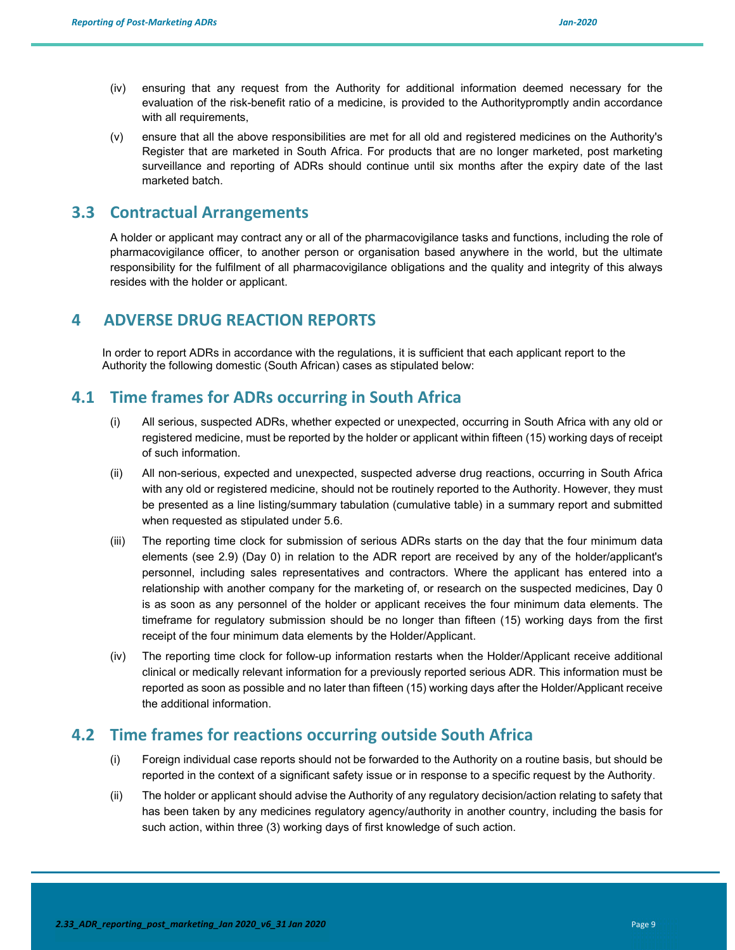- (iv) ensuring that any request from the Authority for additional information deemed necessary for the evaluation of the risk-benefit ratio of a medicine, is provided to the Authoritypromptly andin accordance with all requirements,
- (v) ensure that all the above responsibilities are met for all old and registered medicines on the Authority's Register that are marketed in South Africa. For products that are no longer marketed, post marketing surveillance and reporting of ADRs should continue until six months after the expiry date of the last marketed batch.

### **3.3 Contractual Arrangements**

A holder or applicant may contract any or all of the pharmacovigilance tasks and functions, including the role of pharmacovigilance officer, to another person or organisation based anywhere in the world, but the ultimate responsibility for the fulfilment of all pharmacovigilance obligations and the quality and integrity of this always resides with the holder or applicant.

### **4 ADVERSE DRUG REACTION REPORTS**

In order to report ADRs in accordance with the regulations, it is sufficient that each applicant report to the Authority the following domestic (South African) cases as stipulated below:

### **4.1 Time frames for ADRs occurring in South Africa**

- (i) All serious, suspected ADRs, whether expected or unexpected, occurring in South Africa with any old or registered medicine, must be reported by the holder or applicant within fifteen (15) working days of receipt of such information.
- (ii) All non-serious, expected and unexpected, suspected adverse drug reactions, occurring in South Africa with any old or registered medicine, should not be routinely reported to the Authority. However, they must be presented as a line listing/summary tabulation (cumulative table) in a summary report and submitted when requested as stipulated under 5.6.
- (iii) The reporting time clock for submission of serious ADRs starts on the day that the four minimum data elements (see 2.9) (Day 0) in relation to the ADR report are received by any of the holder/applicant's personnel, including sales representatives and contractors. Where the applicant has entered into a relationship with another company for the marketing of, or research on the suspected medicines, Day 0 is as soon as any personnel of the holder or applicant receives the four minimum data elements. The timeframe for regulatory submission should be no longer than fifteen (15) working days from the first receipt of the four minimum data elements by the Holder/Applicant.
- (iv) The reporting time clock for follow-up information restarts when the Holder/Applicant receive additional clinical or medically relevant information for a previously reported serious ADR. This information must be reported as soon as possible and no later than fifteen (15) working days after the Holder/Applicant receive the additional information.

### **4.2 Time frames for reactions occurring outside South Africa**

- (i) Foreign individual case reports should not be forwarded to the Authority on a routine basis, but should be reported in the context of a significant safety issue or in response to a specific request by the Authority.
- (ii) The holder or applicant should advise the Authority of any regulatory decision/action relating to safety that has been taken by any medicines regulatory agency/authority in another country, including the basis for such action, within three (3) working days of first knowledge of such action.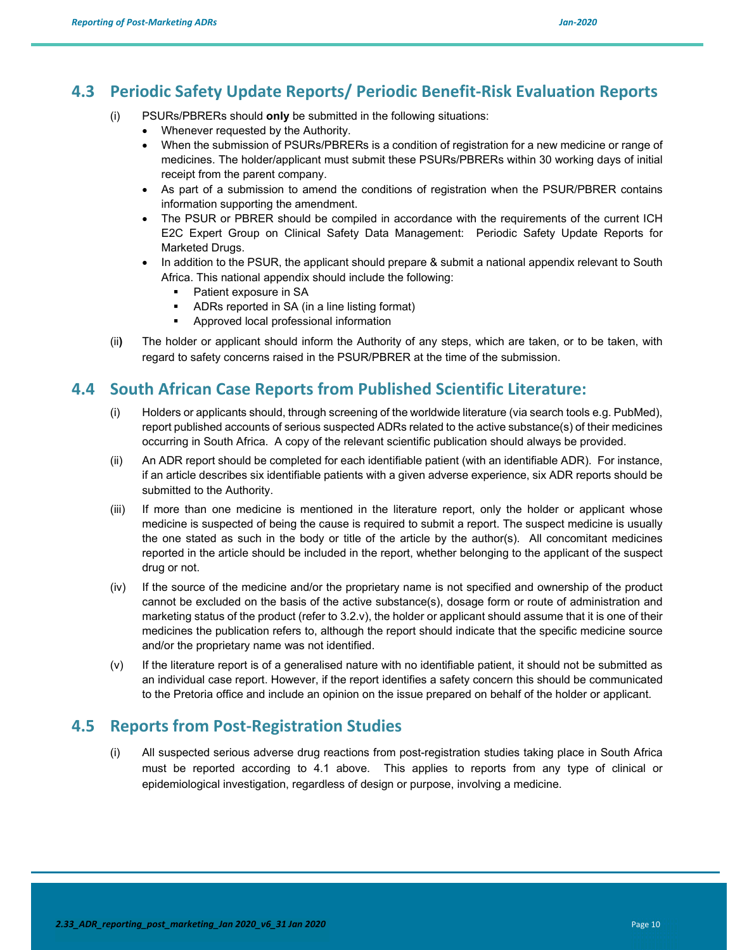# **4.3 Periodic Safety Update Reports/ Periodic Benefit‐Risk Evaluation Reports**

- (i) PSURs/PBRERs should **only** be submitted in the following situations:
	- Whenever requested by the Authority.
	- When the submission of PSURs/PBRERs is a condition of registration for a new medicine or range of medicines. The holder/applicant must submit these PSURs/PBRERs within 30 working days of initial receipt from the parent company.
	- As part of a submission to amend the conditions of registration when the PSUR/PBRER contains information supporting the amendment.
	- The PSUR or PBRER should be compiled in accordance with the requirements of the current ICH E2C Expert Group on Clinical Safety Data Management: Periodic Safety Update Reports for Marketed Drugs.
	- In addition to the PSUR, the applicant should prepare & submit a national appendix relevant to South Africa. This national appendix should include the following:
		- Patient exposure in SA
		- ADRs reported in SA (in a line listing format)
		- **Approved local professional information**
- (ii**)** The holder or applicant should inform the Authority of any steps, which are taken, or to be taken, with regard to safety concerns raised in the PSUR/PBRER at the time of the submission.

#### **4.4 South African Case Reports from Published Scientific Literature:**

- (i) Holders or applicants should, through screening of the worldwide literature (via search tools e.g. PubMed), report published accounts of serious suspected ADRs related to the active substance(s) of their medicines occurring in South Africa. A copy of the relevant scientific publication should always be provided.
- (ii) An ADR report should be completed for each identifiable patient (with an identifiable ADR). For instance, if an article describes six identifiable patients with a given adverse experience, six ADR reports should be submitted to the Authority.
- (iii) If more than one medicine is mentioned in the literature report, only the holder or applicant whose medicine is suspected of being the cause is required to submit a report. The suspect medicine is usually the one stated as such in the body or title of the article by the author(s). All concomitant medicines reported in the article should be included in the report, whether belonging to the applicant of the suspect drug or not.
- (iv) If the source of the medicine and/or the proprietary name is not specified and ownership of the product cannot be excluded on the basis of the active substance(s), dosage form or route of administration and marketing status of the product (refer to 3.2.v), the holder or applicant should assume that it is one of their medicines the publication refers to, although the report should indicate that the specific medicine source and/or the proprietary name was not identified.
- (v) If the literature report is of a generalised nature with no identifiable patient, it should not be submitted as an individual case report. However, if the report identifies a safety concern this should be communicated to the Pretoria office and include an opinion on the issue prepared on behalf of the holder or applicant.

### **4.5 Reports from Post‐Registration Studies**

(i) All suspected serious adverse drug reactions from post-registration studies taking place in South Africa must be reported according to 4.1 above. This applies to reports from any type of clinical or epidemiological investigation, regardless of design or purpose, involving a medicine.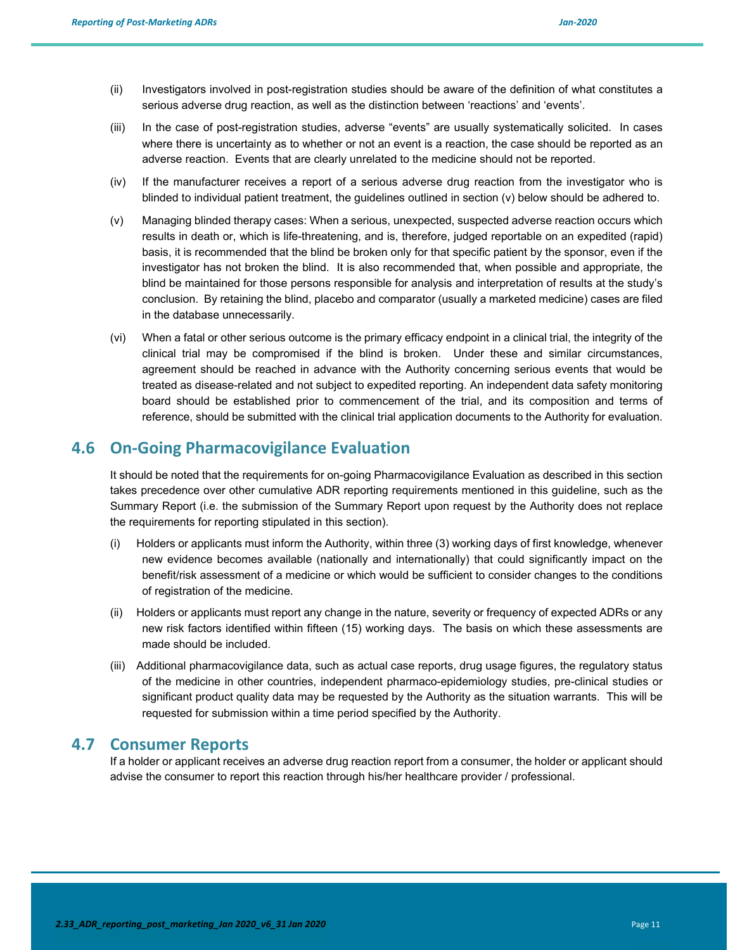- (ii) Investigators involved in post-registration studies should be aware of the definition of what constitutes a serious adverse drug reaction, as well as the distinction between 'reactions' and 'events'.
- (iii) In the case of post-registration studies, adverse "events" are usually systematically solicited. In cases where there is uncertainty as to whether or not an event is a reaction, the case should be reported as an adverse reaction. Events that are clearly unrelated to the medicine should not be reported.
- (iv) If the manufacturer receives a report of a serious adverse drug reaction from the investigator who is blinded to individual patient treatment, the guidelines outlined in section (v) below should be adhered to.
- (v) Managing blinded therapy cases: When a serious, unexpected, suspected adverse reaction occurs which results in death or, which is life-threatening, and is, therefore, judged reportable on an expedited (rapid) basis, it is recommended that the blind be broken only for that specific patient by the sponsor, even if the investigator has not broken the blind. It is also recommended that, when possible and appropriate, the blind be maintained for those persons responsible for analysis and interpretation of results at the study's conclusion. By retaining the blind, placebo and comparator (usually a marketed medicine) cases are filed in the database unnecessarily.
- (vi) When a fatal or other serious outcome is the primary efficacy endpoint in a clinical trial, the integrity of the clinical trial may be compromised if the blind is broken. Under these and similar circumstances, agreement should be reached in advance with the Authority concerning serious events that would be treated as disease-related and not subject to expedited reporting. An independent data safety monitoring board should be established prior to commencement of the trial, and its composition and terms of reference, should be submitted with the clinical trial application documents to the Authority for evaluation.

#### **4.6 On‐Going Pharmacovigilance Evaluation**

It should be noted that the requirements for on-going Pharmacovigilance Evaluation as described in this section takes precedence over other cumulative ADR reporting requirements mentioned in this guideline, such as the Summary Report (i.e. the submission of the Summary Report upon request by the Authority does not replace the requirements for reporting stipulated in this section).

- (i) Holders or applicants must inform the Authority, within three (3) working days of first knowledge, whenever new evidence becomes available (nationally and internationally) that could significantly impact on the benefit/risk assessment of a medicine or which would be sufficient to consider changes to the conditions of registration of the medicine.
- (ii) Holders or applicants must report any change in the nature, severity or frequency of expected ADRs or any new risk factors identified within fifteen (15) working days. The basis on which these assessments are made should be included.
- (iii) Additional pharmacovigilance data, such as actual case reports, drug usage figures, the regulatory status of the medicine in other countries, independent pharmaco-epidemiology studies, pre-clinical studies or significant product quality data may be requested by the Authority as the situation warrants. This will be requested for submission within a time period specified by the Authority.

#### **4.7 Consumer Reports**

If a holder or applicant receives an adverse drug reaction report from a consumer, the holder or applicant should advise the consumer to report this reaction through his/her healthcare provider / professional.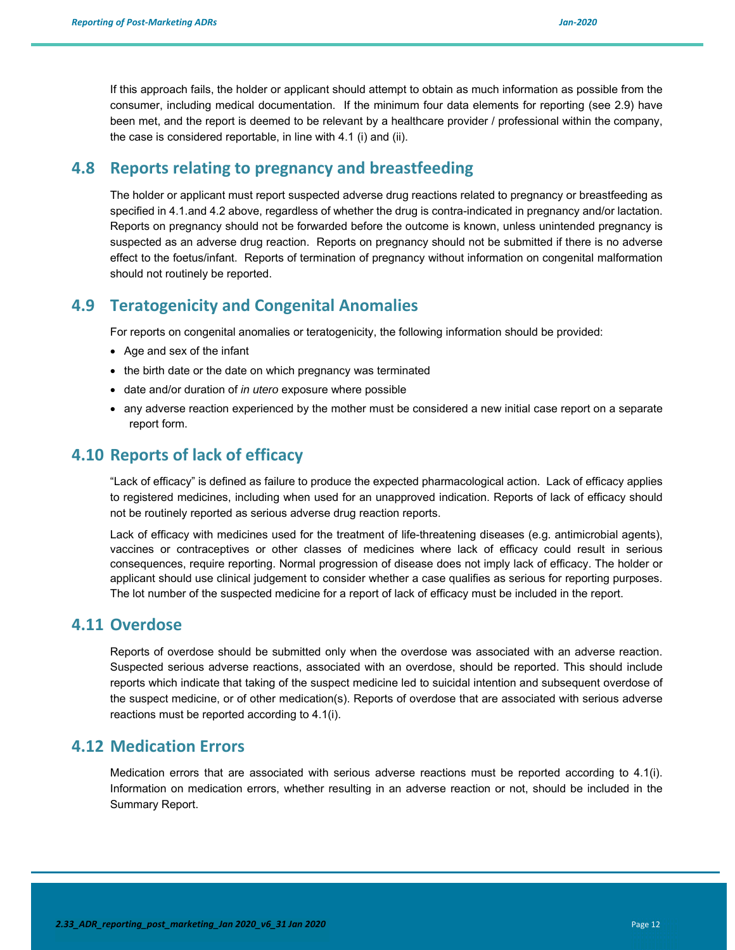If this approach fails, the holder or applicant should attempt to obtain as much information as possible from the consumer, including medical documentation. If the minimum four data elements for reporting (see 2.9) have been met, and the report is deemed to be relevant by a healthcare provider / professional within the company, the case is considered reportable, in line with 4.1 (i) and (ii).

### **4.8 Reports relating to pregnancy and breastfeeding**

The holder or applicant must report suspected adverse drug reactions related to pregnancy or breastfeeding as specified in 4.1.and 4.2 above, regardless of whether the drug is contra-indicated in pregnancy and/or lactation. Reports on pregnancy should not be forwarded before the outcome is known, unless unintended pregnancy is suspected as an adverse drug reaction. Reports on pregnancy should not be submitted if there is no adverse effect to the foetus/infant. Reports of termination of pregnancy without information on congenital malformation should not routinely be reported.

#### **4.9 Teratogenicity and Congenital Anomalies**

For reports on congenital anomalies or teratogenicity, the following information should be provided:

- Age and sex of the infant
- the birth date or the date on which pregnancy was terminated
- date and/or duration of *in utero* exposure where possible
- any adverse reaction experienced by the mother must be considered a new initial case report on a separate report form.

### **4.10 Reports of lack of efficacy**

"Lack of efficacy" is defined as failure to produce the expected pharmacological action. Lack of efficacy applies to registered medicines, including when used for an unapproved indication. Reports of lack of efficacy should not be routinely reported as serious adverse drug reaction reports.

Lack of efficacy with medicines used for the treatment of life-threatening diseases (e.g. antimicrobial agents), vaccines or contraceptives or other classes of medicines where lack of efficacy could result in serious consequences, require reporting. Normal progression of disease does not imply lack of efficacy. The holder or applicant should use clinical judgement to consider whether a case qualifies as serious for reporting purposes. The lot number of the suspected medicine for a report of lack of efficacy must be included in the report.

#### **4.11 Overdose**

Reports of overdose should be submitted only when the overdose was associated with an adverse reaction. Suspected serious adverse reactions, associated with an overdose, should be reported. This should include reports which indicate that taking of the suspect medicine led to suicidal intention and subsequent overdose of the suspect medicine, or of other medication(s). Reports of overdose that are associated with serious adverse reactions must be reported according to 4.1(i).

#### **4.12 Medication Errors**

Medication errors that are associated with serious adverse reactions must be reported according to 4.1(i). Information on medication errors, whether resulting in an adverse reaction or not, should be included in the Summary Report.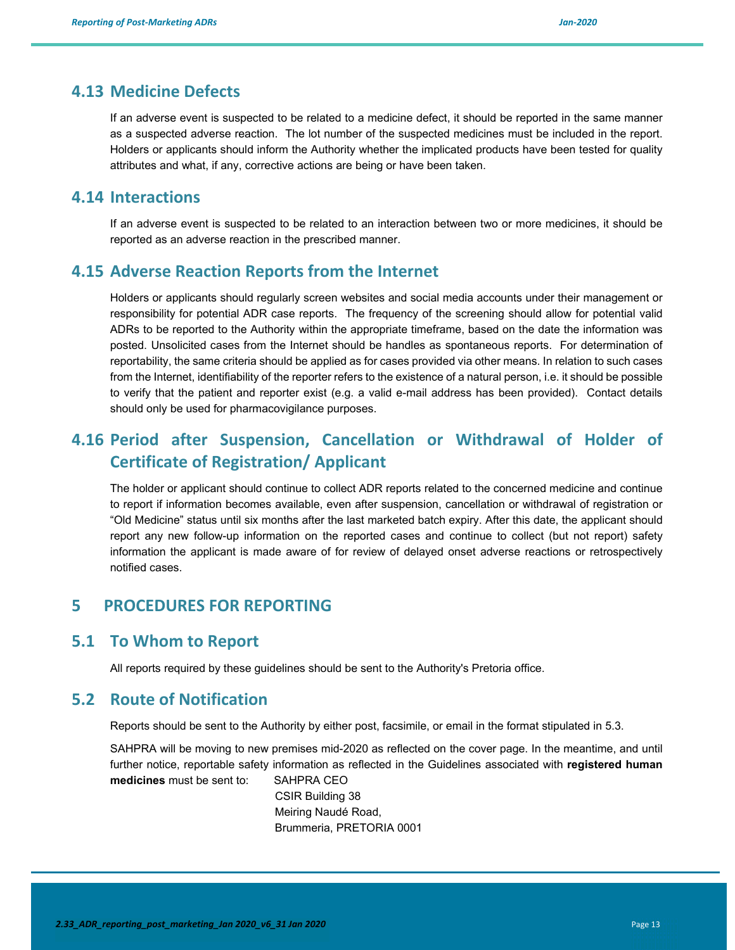#### **4.13 Medicine Defects**

If an adverse event is suspected to be related to a medicine defect, it should be reported in the same manner as a suspected adverse reaction. The lot number of the suspected medicines must be included in the report. Holders or applicants should inform the Authority whether the implicated products have been tested for quality attributes and what, if any, corrective actions are being or have been taken.

#### **4.14 Interactions**

If an adverse event is suspected to be related to an interaction between two or more medicines, it should be reported as an adverse reaction in the prescribed manner.

#### **4.15 Adverse Reaction Reports from the Internet**

Holders or applicants should regularly screen websites and social media accounts under their management or responsibility for potential ADR case reports. The frequency of the screening should allow for potential valid ADRs to be reported to the Authority within the appropriate timeframe, based on the date the information was posted. Unsolicited cases from the Internet should be handles as spontaneous reports. For determination of reportability, the same criteria should be applied as for cases provided via other means. In relation to such cases from the Internet, identifiability of the reporter refers to the existence of a natural person, i.e. it should be possible to verify that the patient and reporter exist (e.g. a valid e-mail address has been provided). Contact details should only be used for pharmacovigilance purposes.

# **4.16 Period after Suspension, Cancellation or Withdrawal of Holder of Certificate of Registration/ Applicant**

The holder or applicant should continue to collect ADR reports related to the concerned medicine and continue to report if information becomes available, even after suspension, cancellation or withdrawal of registration or "Old Medicine" status until six months after the last marketed batch expiry. After this date, the applicant should report any new follow-up information on the reported cases and continue to collect (but not report) safety information the applicant is made aware of for review of delayed onset adverse reactions or retrospectively notified cases.

#### **5 PROCEDURES FOR REPORTING**

#### **5.1 To Whom to Report**

All reports required by these guidelines should be sent to the Authority's Pretoria office.

### **5.2 Route of Notification**

Reports should be sent to the Authority by either post, facsimile, or email in the format stipulated in 5.3.

SAHPRA will be moving to new premises mid-2020 as reflected on the cover page. In the meantime, and until further notice, reportable safety information as reflected in the Guidelines associated with **registered human medicines** must be sent to: SAHPRA CEO

> CSIR Building 38 Meiring Naudé Road, Brummeria, PRETORIA 0001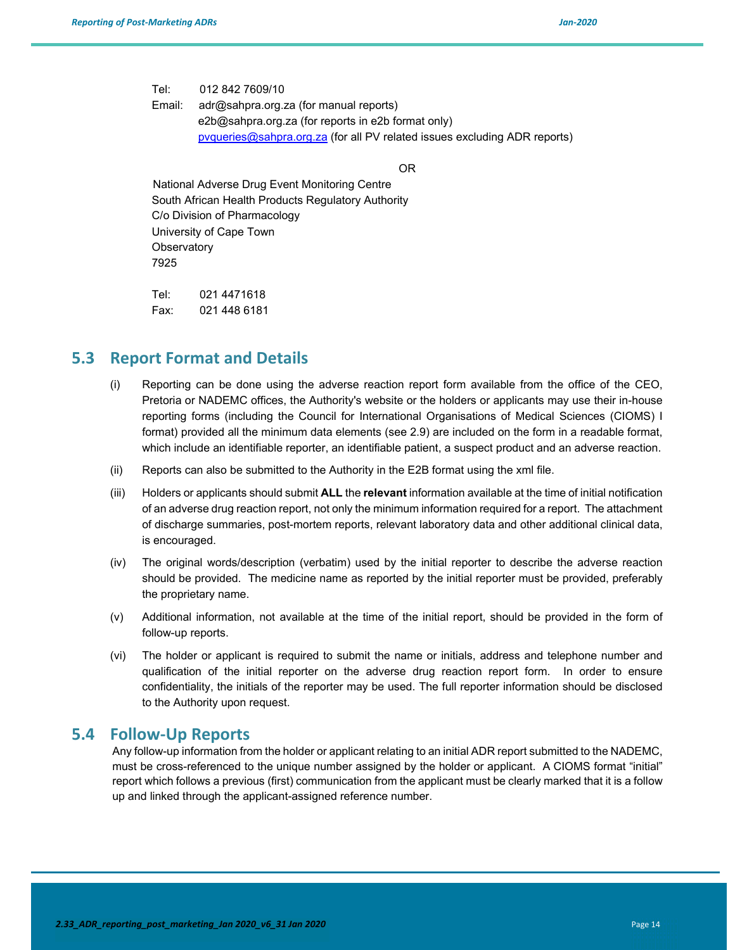Tel: 012 842 7609/10

Email: adr@sahpra.org.za (for manual reports) e2b@sahpra.org.za (for reports in e2b format only) pvqueries@sahpra.org.za (for all PV related issues excluding ADR reports)

OR

 National Adverse Drug Event Monitoring Centre South African Health Products Regulatory Authority C/o Division of Pharmacology University of Cape Town **Observatory** 7925

Tel: 021 4471618 Fax: 021 448 6181

#### **5.3 Report Format and Details**

- (i) Reporting can be done using the adverse reaction report form available from the office of the CEO, Pretoria or NADEMC offices, the Authority's website or the holders or applicants may use their in-house reporting forms (including the Council for International Organisations of Medical Sciences (CIOMS) I format) provided all the minimum data elements (see 2.9) are included on the form in a readable format, which include an identifiable reporter, an identifiable patient, a suspect product and an adverse reaction.
- (ii) Reports can also be submitted to the Authority in the E2B format using the xml file.
- (iii) Holders or applicants should submit **ALL** the **relevant** information available at the time of initial notification of an adverse drug reaction report, not only the minimum information required for a report. The attachment of discharge summaries, post-mortem reports, relevant laboratory data and other additional clinical data, is encouraged.
- (iv) The original words/description (verbatim) used by the initial reporter to describe the adverse reaction should be provided. The medicine name as reported by the initial reporter must be provided, preferably the proprietary name.
- (v) Additional information, not available at the time of the initial report, should be provided in the form of follow-up reports.
- (vi) The holder or applicant is required to submit the name or initials, address and telephone number and qualification of the initial reporter on the adverse drug reaction report form. In order to ensure confidentiality, the initials of the reporter may be used. The full reporter information should be disclosed to the Authority upon request.

#### **5.4 Follow‐Up Reports**

Any follow-up information from the holder or applicant relating to an initial ADR report submitted to the NADEMC, must be cross-referenced to the unique number assigned by the holder or applicant. A CIOMS format "initial" report which follows a previous (first) communication from the applicant must be clearly marked that it is a follow up and linked through the applicant-assigned reference number.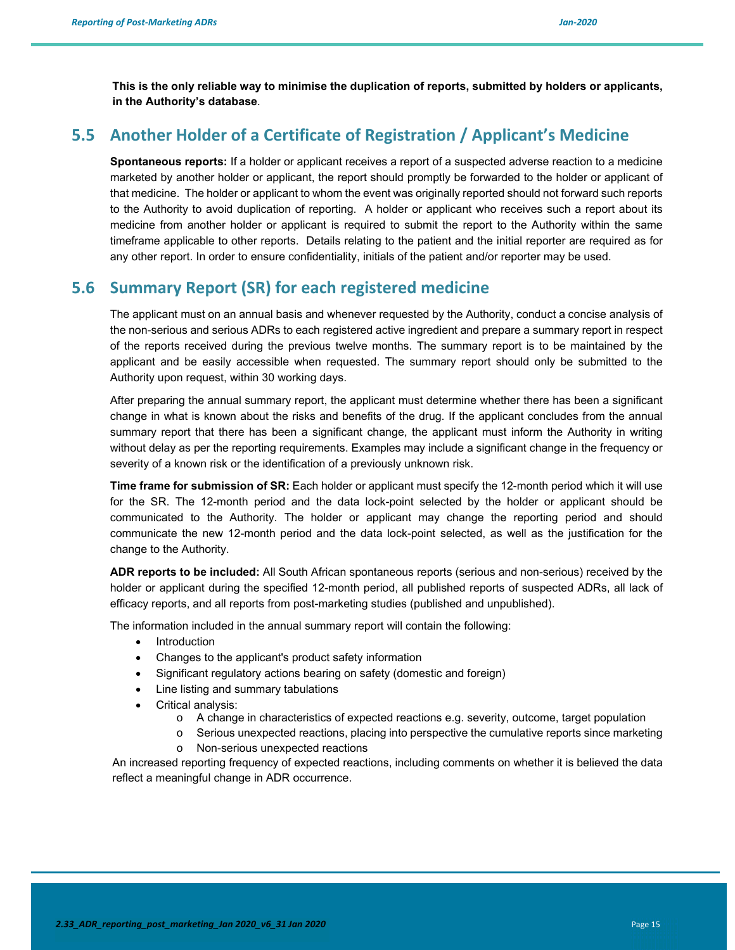**This is the only reliable way to minimise the duplication of reports, submitted by holders or applicants, in the Authority's database**.

### **5.5 Another Holder of a Certificate of Registration / Applicant's Medicine**

**Spontaneous reports:** If a holder or applicant receives a report of a suspected adverse reaction to a medicine marketed by another holder or applicant, the report should promptly be forwarded to the holder or applicant of that medicine. The holder or applicant to whom the event was originally reported should not forward such reports to the Authority to avoid duplication of reporting. A holder or applicant who receives such a report about its medicine from another holder or applicant is required to submit the report to the Authority within the same timeframe applicable to other reports. Details relating to the patient and the initial reporter are required as for any other report. In order to ensure confidentiality, initials of the patient and/or reporter may be used.

### **5.6 Summary Report (SR) for each registered medicine**

The applicant must on an annual basis and whenever requested by the Authority, conduct a concise analysis of the non-serious and serious ADRs to each registered active ingredient and prepare a summary report in respect of the reports received during the previous twelve months. The summary report is to be maintained by the applicant and be easily accessible when requested. The summary report should only be submitted to the Authority upon request, within 30 working days.

After preparing the annual summary report, the applicant must determine whether there has been a significant change in what is known about the risks and benefits of the drug. If the applicant concludes from the annual summary report that there has been a significant change, the applicant must inform the Authority in writing without delay as per the reporting requirements. Examples may include a significant change in the frequency or severity of a known risk or the identification of a previously unknown risk.

**Time frame for submission of SR:** Each holder or applicant must specify the 12-month period which it will use for the SR. The 12-month period and the data lock-point selected by the holder or applicant should be communicated to the Authority. The holder or applicant may change the reporting period and should communicate the new 12-month period and the data lock-point selected, as well as the justification for the change to the Authority.

**ADR reports to be included:** All South African spontaneous reports (serious and non-serious) received by the holder or applicant during the specified 12-month period, all published reports of suspected ADRs, all lack of efficacy reports, and all reports from post-marketing studies (published and unpublished).

The information included in the annual summary report will contain the following:

- Introduction
- Changes to the applicant's product safety information
- Significant regulatory actions bearing on safety (domestic and foreign)
- Line listing and summary tabulations
- Critical analysis:
	- o A change in characteristics of expected reactions e.g. severity, outcome, target population
	- o Serious unexpected reactions, placing into perspective the cumulative reports since marketing
	- o Non-serious unexpected reactions

An increased reporting frequency of expected reactions, including comments on whether it is believed the data reflect a meaningful change in ADR occurrence.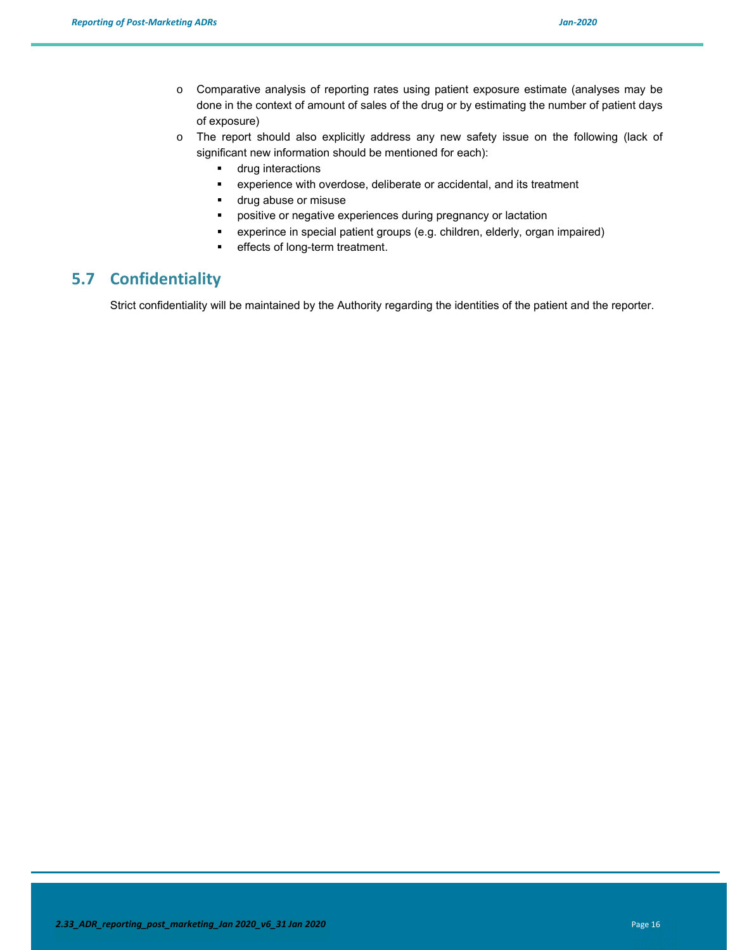- o Comparative analysis of reporting rates using patient exposure estimate (analyses may be done in the context of amount of sales of the drug or by estimating the number of patient days of exposure)
- o The report should also explicitly address any new safety issue on the following (lack of significant new information should be mentioned for each):
	- **u** drug interactions
	- experience with overdose, deliberate or accidental, and its treatment
	- **drug abuse or misuse**
	- **•** positive or negative experiences during pregnancy or lactation
	- experince in special patient groups (e.g. children, elderly, organ impaired)
	- **effects of long-term treatment.**

# **5.7 Confidentiality**

Strict confidentiality will be maintained by the Authority regarding the identities of the patient and the reporter.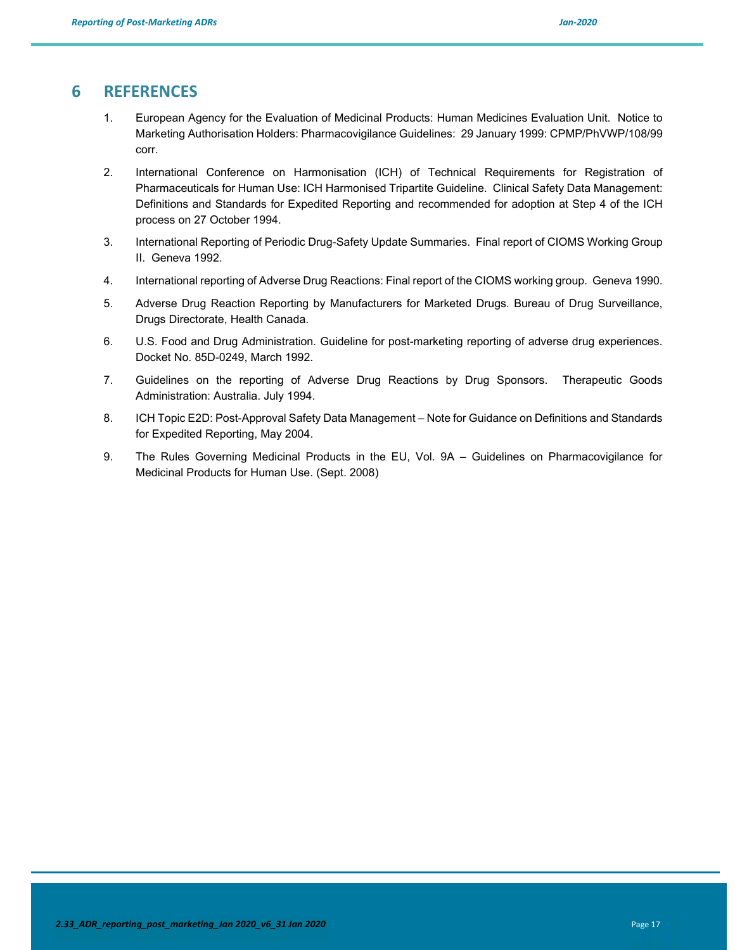#### **6 REFERENCES**

- 1. European Agency for the Evaluation of Medicinal Products: Human Medicines Evaluation Unit. Notice to Marketing Authorisation Holders: Pharmacovigilance Guidelines: 29 January 1999: CPMP/PhVWP/108/99 corr.
- 2. International Conference on Harmonisation (ICH) of Technical Requirements for Registration of Pharmaceuticals for Human Use: ICH Harmonised Tripartite Guideline. Clinical Safety Data Management: Definitions and Standards for Expedited Reporting and recommended for adoption at Step 4 of the ICH process on 27 October 1994.
- 3. International Reporting of Periodic Drug-Safety Update Summaries. Final report of CIOMS Working Group II. Geneva 1992.
- 4. International reporting of Adverse Drug Reactions: Final report of the CIOMS working group. Geneva 1990.
- 5. Adverse Drug Reaction Reporting by Manufacturers for Marketed Drugs. Bureau of Drug Surveillance, Drugs Directorate, Health Canada.
- 6. U.S. Food and Drug Administration. Guideline for post-marketing reporting of adverse drug experiences. Docket No. 85D-0249, March 1992.
- 7. Guidelines on the reporting of Adverse Drug Reactions by Drug Sponsors. Therapeutic Goods Administration: Australia. July 1994.
- 8. ICH Topic E2D: Post-Approval Safety Data Management Note for Guidance on Definitions and Standards for Expedited Reporting, May 2004.
- 9. The Rules Governing Medicinal Products in the EU, Vol. 9A Guidelines on Pharmacovigilance for Medicinal Products for Human Use. (Sept. 2008)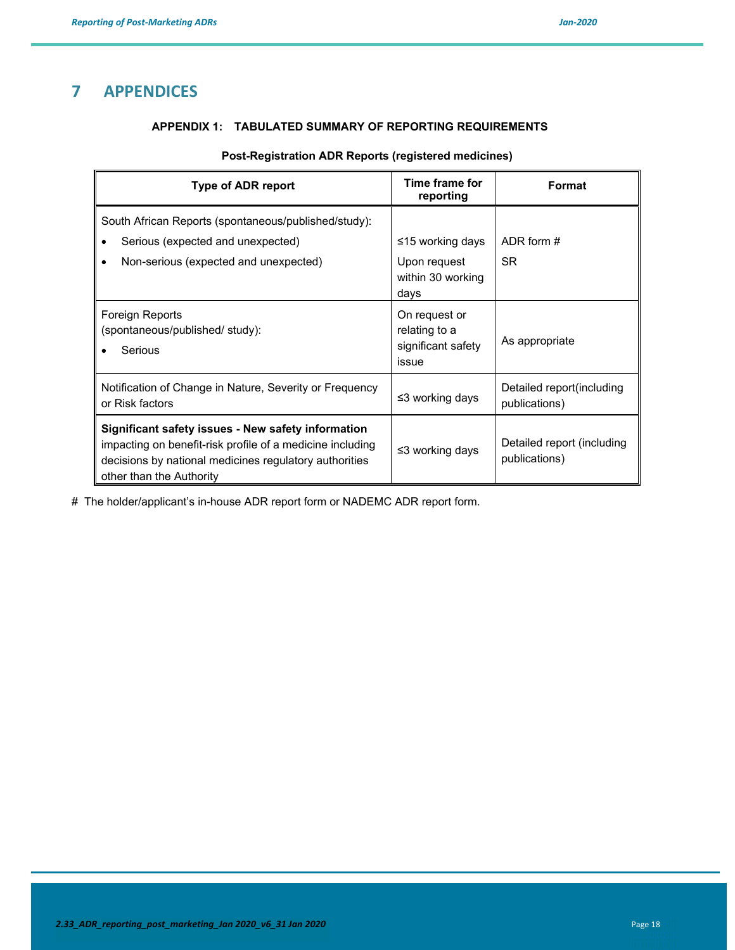### **7 APPENDICES**

#### **APPENDIX 1: TABULATED SUMMARY OF REPORTING REQUIREMENTS**

#### **Post-Registration ADR Reports (registered medicines)**

| Type of ADR report                                                                                                                                                                                    | Time frame for<br>reporting                                   | Format                                      |
|-------------------------------------------------------------------------------------------------------------------------------------------------------------------------------------------------------|---------------------------------------------------------------|---------------------------------------------|
| South African Reports (spontaneous/published/study):                                                                                                                                                  |                                                               |                                             |
| Serious (expected and unexpected)                                                                                                                                                                     | ≤15 working days                                              | ADR form #                                  |
| Non-serious (expected and unexpected)                                                                                                                                                                 | Upon request<br>within 30 working<br>days                     | <b>SR</b>                                   |
| Foreign Reports<br>(spontaneous/published/ study):<br>Serious                                                                                                                                         | On request or<br>relating to a<br>significant safety<br>issue | As appropriate                              |
| Notification of Change in Nature, Severity or Frequency<br>or Risk factors                                                                                                                            | ≤3 working days                                               | Detailed report (including<br>publications) |
| Significant safety issues - New safety information<br>impacting on benefit-risk profile of a medicine including<br>decisions by national medicines regulatory authorities<br>other than the Authority | ≤3 working days                                               | Detailed report (including<br>publications) |

# The holder/applicant's in-house ADR report form or NADEMC ADR report form.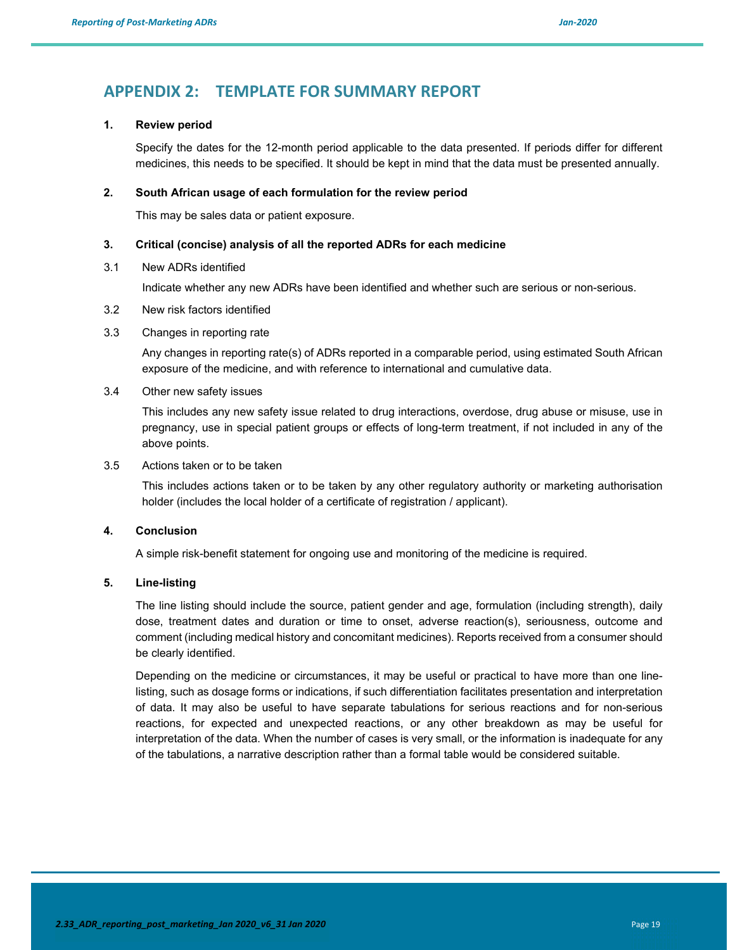### **APPENDIX 2: TEMPLATE FOR SUMMARY REPORT**

#### **1. Review period**

Specify the dates for the 12-month period applicable to the data presented. If periods differ for different medicines, this needs to be specified. It should be kept in mind that the data must be presented annually.

#### **2. South African usage of each formulation for the review period**

This may be sales data or patient exposure.

#### **3. Critical (concise) analysis of all the reported ADRs for each medicine**

#### 3.1 New ADRs identified

Indicate whether any new ADRs have been identified and whether such are serious or non-serious.

- 3.2 New risk factors identified
- 3.3 Changes in reporting rate

Any changes in reporting rate(s) of ADRs reported in a comparable period, using estimated South African exposure of the medicine, and with reference to international and cumulative data.

3.4 Other new safety issues

This includes any new safety issue related to drug interactions, overdose, drug abuse or misuse, use in pregnancy, use in special patient groups or effects of long-term treatment, if not included in any of the above points.

3.5 Actions taken or to be taken

This includes actions taken or to be taken by any other regulatory authority or marketing authorisation holder (includes the local holder of a certificate of registration / applicant).

#### **4. Conclusion**

A simple risk-benefit statement for ongoing use and monitoring of the medicine is required.

#### **5. Line-listing**

The line listing should include the source, patient gender and age, formulation (including strength), daily dose, treatment dates and duration or time to onset, adverse reaction(s), seriousness, outcome and comment (including medical history and concomitant medicines). Reports received from a consumer should be clearly identified.

Depending on the medicine or circumstances, it may be useful or practical to have more than one linelisting, such as dosage forms or indications, if such differentiation facilitates presentation and interpretation of data. It may also be useful to have separate tabulations for serious reactions and for non-serious reactions, for expected and unexpected reactions, or any other breakdown as may be useful for interpretation of the data. When the number of cases is very small, or the information is inadequate for any of the tabulations, a narrative description rather than a formal table would be considered suitable.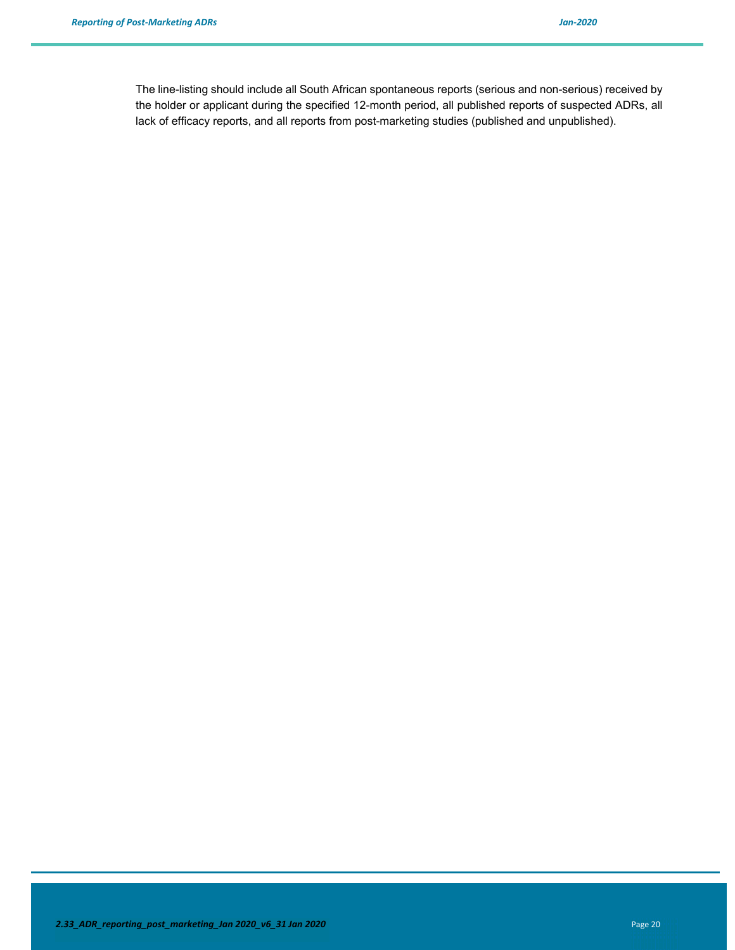The line-listing should include all South African spontaneous reports (serious and non-serious) received by the holder or applicant during the specified 12-month period, all published reports of suspected ADRs, all lack of efficacy reports, and all reports from post-marketing studies (published and unpublished).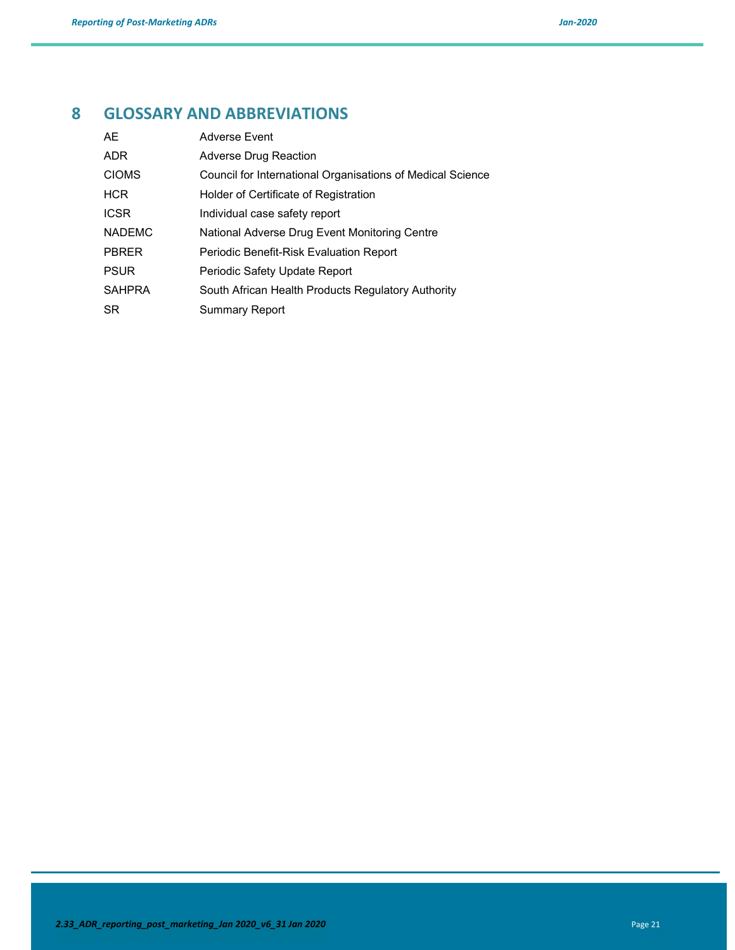# **8 GLOSSARY AND ABBREVIATIONS**

| AE            | <b>Adverse Event</b>                                       |
|---------------|------------------------------------------------------------|
| <b>ADR</b>    | Adverse Drug Reaction                                      |
| <b>CIOMS</b>  | Council for International Organisations of Medical Science |
| <b>HCR</b>    | Holder of Certificate of Registration                      |
| <b>ICSR</b>   | Individual case safety report                              |
| <b>NADEMC</b> | National Adverse Drug Event Monitoring Centre              |
| <b>PBRER</b>  | Periodic Benefit-Risk Evaluation Report                    |
| <b>PSUR</b>   | Periodic Safety Update Report                              |
| <b>SAHPRA</b> | South African Health Products Regulatory Authority         |
| SR.           | <b>Summary Report</b>                                      |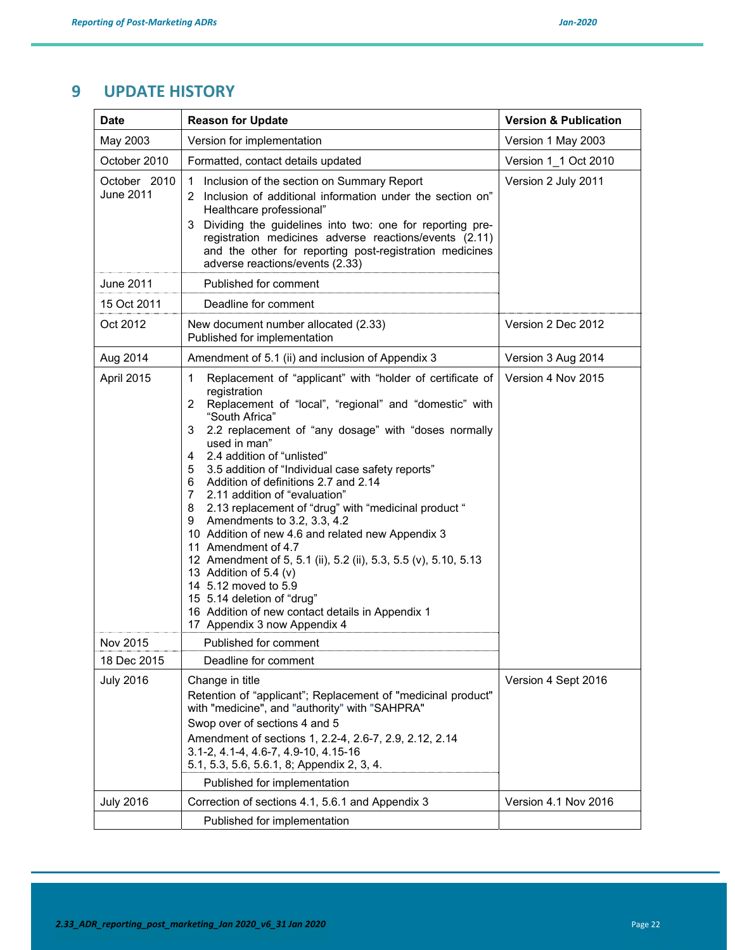# **9 UPDATE HISTORY**

| <b>Date</b>               | <b>Reason for Update</b>                                                                                                                                                                                                                                                                                                                                                                                                                                                                                                                                                                                                                                                                                                                                                                                                                                            | <b>Version &amp; Publication</b> |
|---------------------------|---------------------------------------------------------------------------------------------------------------------------------------------------------------------------------------------------------------------------------------------------------------------------------------------------------------------------------------------------------------------------------------------------------------------------------------------------------------------------------------------------------------------------------------------------------------------------------------------------------------------------------------------------------------------------------------------------------------------------------------------------------------------------------------------------------------------------------------------------------------------|----------------------------------|
| May 2003                  | Version for implementation                                                                                                                                                                                                                                                                                                                                                                                                                                                                                                                                                                                                                                                                                                                                                                                                                                          | Version 1 May 2003               |
| October 2010              | Formatted, contact details updated                                                                                                                                                                                                                                                                                                                                                                                                                                                                                                                                                                                                                                                                                                                                                                                                                                  | Version 1_1 Oct 2010             |
| October 2010<br>June 2011 | Inclusion of the section on Summary Report<br>1<br>Inclusion of additional information under the section on"<br>2<br>Healthcare professional"<br>3 Dividing the guidelines into two: one for reporting pre-<br>registration medicines adverse reactions/events (2.11)<br>and the other for reporting post-registration medicines<br>adverse reactions/events (2.33)                                                                                                                                                                                                                                                                                                                                                                                                                                                                                                 | Version 2 July 2011              |
| June 2011                 | Published for comment                                                                                                                                                                                                                                                                                                                                                                                                                                                                                                                                                                                                                                                                                                                                                                                                                                               |                                  |
| 15 Oct 2011               | Deadline for comment                                                                                                                                                                                                                                                                                                                                                                                                                                                                                                                                                                                                                                                                                                                                                                                                                                                |                                  |
| Oct 2012                  | New document number allocated (2.33)<br>Published for implementation                                                                                                                                                                                                                                                                                                                                                                                                                                                                                                                                                                                                                                                                                                                                                                                                | Version 2 Dec 2012               |
| Aug 2014                  | Amendment of 5.1 (ii) and inclusion of Appendix 3                                                                                                                                                                                                                                                                                                                                                                                                                                                                                                                                                                                                                                                                                                                                                                                                                   | Version 3 Aug 2014               |
| April 2015                | Replacement of "applicant" with "holder of certificate of<br>1<br>registration<br>Replacement of "local", "regional" and "domestic" with<br>$\overline{2}$<br>"South Africa"<br>2.2 replacement of "any dosage" with "doses normally<br>3<br>used in man"<br>2.4 addition of "unlisted"<br>4<br>3.5 addition of "Individual case safety reports"<br>5<br>Addition of definitions 2.7 and 2.14<br>6<br>2.11 addition of "evaluation"<br>$7^{\circ}$<br>8 2.13 replacement of "drug" with "medicinal product "<br>Amendments to 3.2, 3.3, 4.2<br>9<br>10 Addition of new 4.6 and related new Appendix 3<br>11 Amendment of 4.7<br>12 Amendment of 5, 5.1 (ii), 5.2 (ii), 5.3, 5.5 (v), 5.10, 5.13<br>13 Addition of 5.4 (v)<br>14 5.12 moved to 5.9<br>15 5.14 deletion of "drug"<br>16 Addition of new contact details in Appendix 1<br>17 Appendix 3 now Appendix 4 | Version 4 Nov 2015               |
| Nov 2015                  | Published for comment                                                                                                                                                                                                                                                                                                                                                                                                                                                                                                                                                                                                                                                                                                                                                                                                                                               |                                  |
| 18 Dec 2015               | Deadline for comment                                                                                                                                                                                                                                                                                                                                                                                                                                                                                                                                                                                                                                                                                                                                                                                                                                                |                                  |
| <b>July 2016</b>          | Change in title<br>Retention of "applicant"; Replacement of "medicinal product"<br>with "medicine", and "authority" with "SAHPRA"<br>Swop over of sections 4 and 5<br>Amendment of sections 1, 2.2-4, 2.6-7, 2.9, 2.12, 2.14<br>3.1-2, 4.1-4, 4.6-7, 4.9-10, 4.15-16<br>5.1, 5.3, 5.6, 5.6.1, 8; Appendix 2, 3, 4.<br>Published for implementation                                                                                                                                                                                                                                                                                                                                                                                                                                                                                                                  | Version 4 Sept 2016              |
| <b>July 2016</b>          | Correction of sections 4.1, 5.6.1 and Appendix 3                                                                                                                                                                                                                                                                                                                                                                                                                                                                                                                                                                                                                                                                                                                                                                                                                    | Version 4.1 Nov 2016             |
|                           | Published for implementation                                                                                                                                                                                                                                                                                                                                                                                                                                                                                                                                                                                                                                                                                                                                                                                                                                        |                                  |